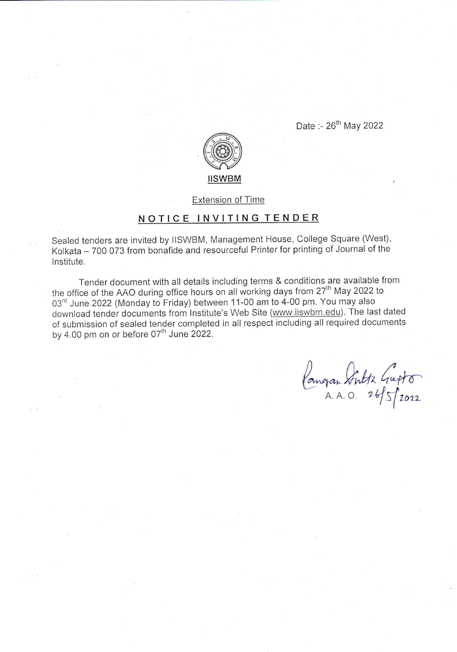Date :- 26<sup>th</sup> May 2022



Extension of Time

## NOTICE INVITING TENDER

Sealed tenders are invited by lISWBM, Management House, College Square (West), Kolkata - 700 073 from bonafide and resourceful Printer for printing of Journal of the lnstitute.

Tender document with all details including terms & conditions are available from the office of the AAO during office hours on all working days from 27<sup>th</sup> May 2022 to 03<sup>rd</sup> June 2022 (Monday to Friday) between 11-00 am to 4-00 pm. You may also download tender documents from lnstitute's Web Site (www.iiswbm.edu). The last dated of submission of sealed tender completed in all respect including all required documents by  $4.00 \text{ pm}$  on or before  $07^{\text{th}}$  June 2022.

Congran Sultz Gupto A. A. O.  $265$   $2022$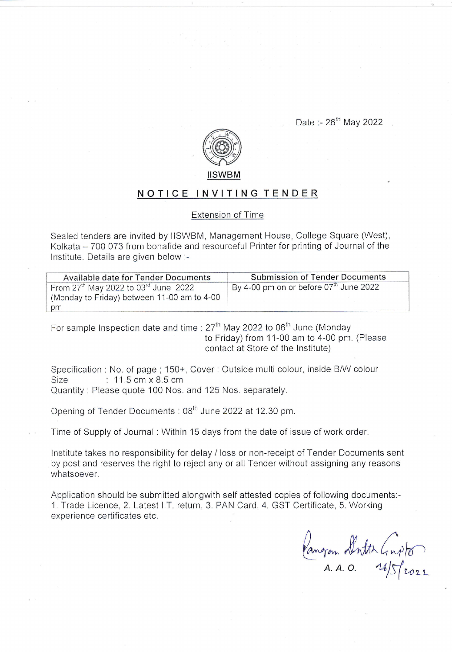Date :-  $26^{th}$  May 2022



## NOTICE INVITING TENDER

## Extension of Time

Sealed tenders are invited by llSWBM, Management House, College Square (West), Kolkata - 700 073 from bonafide and resourceful Printer for printing of Journal of the lnstitute. Details are given below:-

| <b>Available date for Tender Documents</b>         | <b>Submission of Tender Documents</b>              |
|----------------------------------------------------|----------------------------------------------------|
| From $27th$ May 2022 to 03 <sup>rd</sup> June 2022 | By 4-00 pm on or before 07 <sup>th</sup> June 2022 |
| (Monday to Friday) between 11-00 am to 4-00        |                                                    |
| pm                                                 |                                                    |

For sample Inspection date and time :  $27<sup>th</sup>$  May 2022 to 06<sup>th</sup> June (Monday to Friday) from 11-00 am to 4-00 pm. (Please contact at Store of the lnstitute)

Specification : No. of page ; 150+, Cover : Outside multi colour, inside B/W colour<br>Size : 11.5 cm x 8.5 cm :  $11.5$  cm  $\times$  8.5 cm Quantity : Please quote 100 Nos. and 125 Nos. separately.

Opening of Tender Documents : 08<sup>th</sup> June 2022 at 12.30 pm.

Time of Supply of Journal : Within 15 days from the date of issue of work order.

lnstitute takes no responsibility for delay / loss or non-receipt of Tender Documents sent by post and reserves the right to reject any or all Tender without assigning any reasons whatsoever.

Application should be submitted alongwith self attested copies of following documents:- 1. Trade Licence, 2. Latest I.T. return, 3. PAN Card, 4. GST Certificate, 5. Working experience certificates etc,

Vangan Dorth Guyto  $A. A. O.$   $14/5$   $\sim$  22